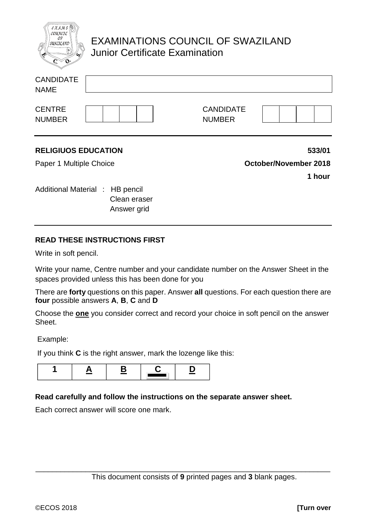

# **EXAMINATIONS COUNCIL OF SWAZILAND** Junior Certificate Examination

| <b>CANDIDATE</b><br><b>NAME</b> |                                                                |                                   |        |  |
|---------------------------------|----------------------------------------------------------------|-----------------------------------|--------|--|
| <b>CENTRE</b><br><b>NUMBER</b>  |                                                                | <b>CANDIDATE</b><br><b>NUMBER</b> |        |  |
| <b>RELIGIUOS EDUCATION</b>      |                                                                |                                   | 533/01 |  |
| Paper 1 Multiple Choice         |                                                                | October/November 2018             |        |  |
|                                 |                                                                |                                   | 1 hour |  |
|                                 | Additional Material : HB pencil<br>Clean eraser<br>Answer grid |                                   |        |  |

### **READ THESE INSTRUCTIONS FIRST**

Write in soft pencil.

Write your name, Centre number and your candidate number on the Answer Sheet in the spaces provided unless this has been done for you

There are **forty** questions on this paper. Answer **all** questions. For each question there are **four** possible answers **A**, **B**, **C** and **D**

Choose the **one** you consider correct and record your choice in soft pencil on the answer Sheet.

Example:

If you think **C** is the right answer, mark the lozenge like this:

|--|--|--|--|--|

#### **Read carefully and follow the instructions on the separate answer sheet.**

Each correct answer will score one mark.

\_\_\_\_\_\_\_\_\_\_\_\_\_\_\_\_\_\_\_\_\_\_\_\_\_\_\_\_\_\_\_\_\_\_\_\_\_\_\_\_\_\_\_\_\_\_\_\_\_\_\_\_\_\_\_\_\_\_\_\_\_\_\_\_\_\_\_\_\_\_\_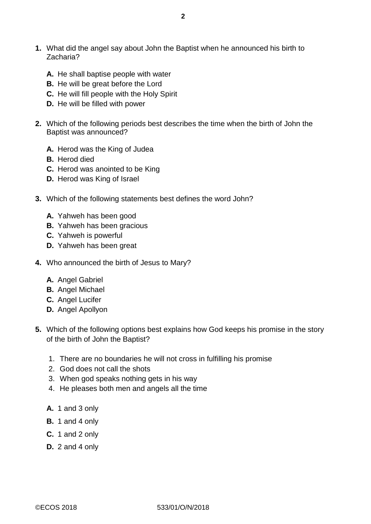- **1.** What did the angel say about John the Baptist when he announced his birth to Zacharia?
	- **A.** He shall baptise people with water
	- **B.** He will be great before the Lord
	- **C.** He will fill people with the Holy Spirit
	- **D.** He will be filled with power
- **2.** Which of the following periods best describes the time when the birth of John the Baptist was announced?
	- **A.** Herod was the King of Judea
	- **B.** Herod died
	- **C.** Herod was anointed to be King
	- **D.** Herod was King of Israel
- **3.** Which of the following statements best defines the word John?
	- **A.** Yahweh has been good
	- **B.** Yahweh has been gracious
	- **C.** Yahweh is powerful
	- **D.** Yahweh has been great
- **4.** Who announced the birth of Jesus to Mary?
	- **A.** Angel Gabriel
	- **B.** Angel Michael
	- **C.** Angel Lucifer
	- **D.** Angel Apollyon
- **5.** Which of the following options best explains how God keeps his promise in the story of the birth of John the Baptist?
	- 1. There are no boundaries he will not cross in fulfilling his promise
	- 2. God does not call the shots
	- 3. When god speaks nothing gets in his way
	- 4. He pleases both men and angels all the time
	- **A.** 1 and 3 only
	- **B.** 1 and 4 only
	- **C.** 1 and 2 only
	- **D.** 2 and 4 only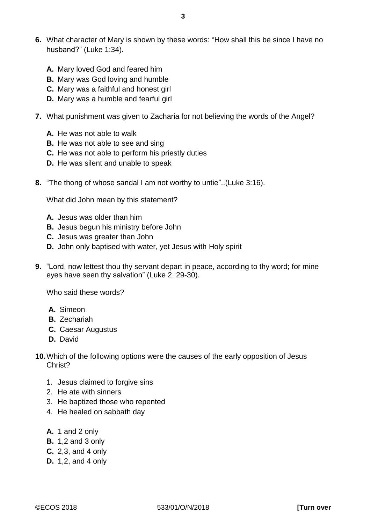**3**

- **6.** What character of Mary is shown by these words: "How shall this be since I have no husband?" (Luke 1:34).
	- **A.** Mary loved God and feared him
	- **B.** Mary was God loving and humble
	- **C.** Mary was a faithful and honest girl
	- **D.** Mary was a humble and fearful girl
- **7.** What punishment was given to Zacharia for not believing the words of the Angel?
	- **A.** He was not able to walk
	- **B.** He was not able to see and sing
	- **C.** He was not able to perform his priestly duties
	- **D.** He was silent and unable to speak
- **8.** "The thong of whose sandal I am not worthy to untie"..(Luke 3:16).

What did John mean by this statement?

- **A.** Jesus was older than him
- **B.** Jesus begun his ministry before John
- **C.** Jesus was greater than John
- **D.** John only baptised with water, yet Jesus with Holy spirit
- **9.** "Lord, now lettest thou thy servant depart in peace, according to thy word; for mine eyes have seen thy salvation" (Luke 2 :29-30).

Who said these words?

- **A.** Simeon
- **B.** Zechariah
- **C.** Caesar Augustus
- **D.** David
- **10.**Which of the following options were the causes of the early opposition of Jesus Christ?
	- 1. Jesus claimed to forgive sins
	- 2. He ate with sinners
	- 3. He baptized those who repented
	- 4. He healed on sabbath day
	- **A.** 1 and 2 only
	- **B.** 1,2 and 3 only
	- **C.** 2,3, and 4 only
	- **D.** 1,2, and 4 only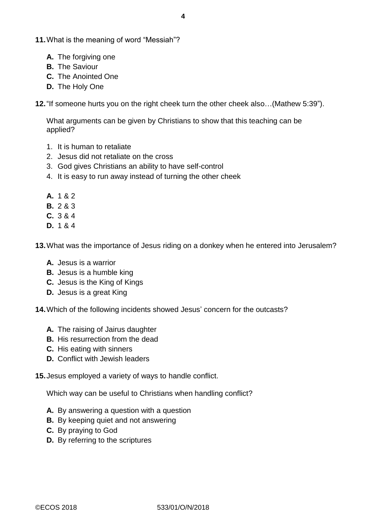- **11.**What is the meaning of word "Messiah"?
	- **A.** The forgiving one
	- **B.** The Saviour
	- **C.** The Anointed One
	- **D.** The Holy One

**12.**"If someone hurts you on the right cheek turn the other cheek also…(Mathew 5:39").

What arguments can be given by Christians to show that this teaching can be applied?

- 1. It is human to retaliate
- 2. Jesus did not retaliate on the cross
- 3. God gives Christians an ability to have self-control
- 4. It is easy to run away instead of turning the other cheek
- **A.** 1 & 2
- **B.** 2 & 3
- **C.** 3 & 4
- **D.** 1 & 4

**13.**What was the importance of Jesus riding on a donkey when he entered into Jerusalem?

- **A.** Jesus is a warrior
- **B.** Jesus is a humble king
- **C.** Jesus is the King of Kings
- **D.** Jesus is a great King
- **14.**Which of the following incidents showed Jesus' concern for the outcasts?
	- **A.** The raising of Jairus daughter
	- **B.** His resurrection from the dead
	- **C.** His eating with sinners
	- **D.** Conflict with Jewish leaders
- **15.**Jesus employed a variety of ways to handle conflict.

Which way can be useful to Christians when handling conflict?

- **A.** By answering a question with a question
- **B.** By keeping quiet and not answering
- **C.** By praying to God
- **D.** By referring to the scriptures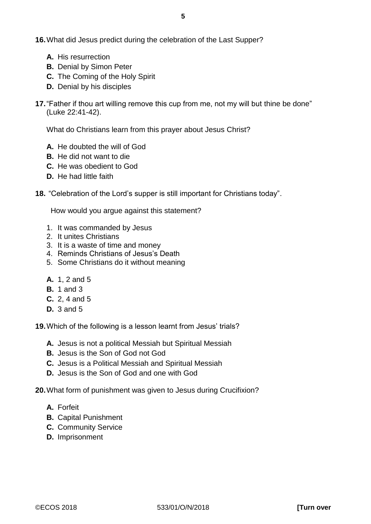- **A.** His resurrection
- **B.** Denial by Simon Peter
- **C.** The Coming of the Holy Spirit
- **D.** Denial by his disciples
- **17.**"Father if thou art willing remove this cup from me, not my will but thine be done" (Luke 22:41-42).

What do Christians learn from this prayer about Jesus Christ?

- **A.** He doubted the will of God
- **B.** He did not want to die
- **C.** He was obedient to God
- **D.** He had little faith
- **18.** "Celebration of the Lord's supper is still important for Christians today".

How would you argue against this statement?

- 1. It was commanded by Jesus
- 2. It unites Christians
- 3. It is a waste of time and money
- 4. Reminds Christians of Jesus's Death
- 5. Some Christians do it without meaning
- **A.** 1, 2 and 5
- **B.** 1 and 3
- **C.** 2, 4 and 5
- **D.** 3 and 5

**19.**Which of the following is a lesson learnt from Jesus' trials?

- **A.** Jesus is not a political Messiah but Spiritual Messiah
- **B.** Jesus is the Son of God not God
- **C.** Jesus is a Political Messiah and Spiritual Messiah
- **D.** Jesus is the Son of God and one with God

**20.**What form of punishment was given to Jesus during Crucifixion?

- **A.** Forfeit
- **B.** Capital Punishment
- **C.** Community Service
- **D.** Imprisonment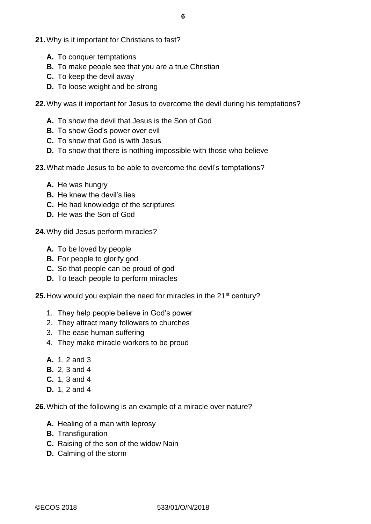- **21.**Why is it important for Christians to fast?
	- **A.** To conquer temptations
	- **B.** To make people see that you are a true Christian
	- **C.** To keep the devil away
	- **D.** To loose weight and be strong
- **22.**Why was it important for Jesus to overcome the devil during his temptations?
	- **A.** To show the devil that Jesus is the Son of God
	- **B.** To show God's power over evil
	- **C.** To show that God is with Jesus
	- **D.** To show that there is nothing impossible with those who believe
- **23.**What made Jesus to be able to overcome the devil's temptations?
	- **A.** He was hungry
	- **B.** He knew the devil's lies
	- **C.** He had knowledge of the scriptures
	- **D.** He was the Son of God
- **24.**Why did Jesus perform miracles?
	- **A.** To be loved by people
	- **B.** For people to glorify god
	- **C.** So that people can be proud of god
	- **D.** To teach people to perform miracles
- **25.** How would you explain the need for miracles in the 21<sup>st</sup> century?
	- 1. They help people believe in God's power
	- 2. They attract many followers to churches
	- 3. The ease human suffering
	- 4. They make miracle workers to be proud
	- **A.** 1, 2 and 3
	- **B.** 2, 3 and 4
	- **C.** 1, 3 and 4
	- **D.** 1, 2 and 4

**26.**Which of the following is an example of a miracle over nature?

- **A.** Healing of a man with leprosy
- **B.** Transfiguration
- **C.** Raising of the son of the widow Nain
- **D.** Calming of the storm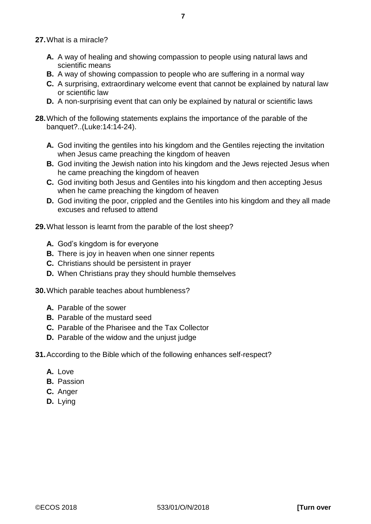- **A.** A way of healing and showing compassion to people using natural laws and scientific means
- **B.** A way of showing compassion to people who are suffering in a normal way
- **C.** A surprising, extraordinary welcome event that cannot be explained by natural law or scientific law
- **D.** A non-surprising event that can only be explained by natural or scientific laws
- **28.**Which of the following statements explains the importance of the parable of the banquet?..(Luke:14:14-24).
	- **A.** God inviting the gentiles into his kingdom and the Gentiles rejecting the invitation when Jesus came preaching the kingdom of heaven
	- **B.** God inviting the Jewish nation into his kingdom and the Jews rejected Jesus when he came preaching the kingdom of heaven
	- **C.** God inviting both Jesus and Gentiles into his kingdom and then accepting Jesus when he came preaching the kingdom of heaven
	- **D.** God inviting the poor, crippled and the Gentiles into his kingdom and they all made excuses and refused to attend
- **29.**What lesson is learnt from the parable of the lost sheep?
	- **A.** God's kingdom is for everyone
	- **B.** There is joy in heaven when one sinner repents
	- **C.** Christians should be persistent in prayer
	- **D.** When Christians pray they should humble themselves
- **30.**Which parable teaches about humbleness?
	- **A.** Parable of the sower
	- **B.** Parable of the mustard seed
	- **C.** Parable of the Pharisee and the Tax Collector
	- **D.** Parable of the widow and the unjust judge
- **31.**According to the Bible which of the following enhances self-respect?
	- **A.** Love
	- **B.** Passion
	- **C.** Anger
	- **D.** Lying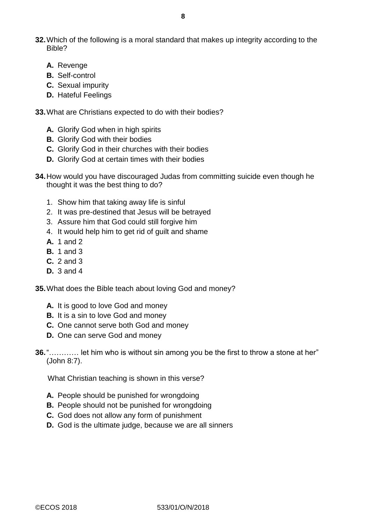- **32.**Which of the following is a moral standard that makes up integrity according to the Bible?
	- **A.** Revenge
	- **B.** Self-control
	- **C.** Sexual impurity
	- **D.** Hateful Feelings
- **33.**What are Christians expected to do with their bodies?
	- **A.** Glorify God when in high spirits
	- **B.** Glorify God with their bodies
	- **C.** Glorify God in their churches with their bodies
	- **D.** Glorify God at certain times with their bodies
- **34.**How would you have discouraged Judas from committing suicide even though he thought it was the best thing to do?
	- 1. Show him that taking away life is sinful
	- 2. It was pre-destined that Jesus will be betrayed
	- 3. Assure him that God could still forgive him
	- 4. It would help him to get rid of guilt and shame
	- **A.** 1 and 2
	- **B.** 1 and 3
	- **C.** 2 and 3
	- **D.** 3 and 4
- **35.**What does the Bible teach about loving God and money?
	- **A.** It is good to love God and money
	- **B.** It is a sin to love God and money
	- **C.** One cannot serve both God and money
	- **D.** One can serve God and money
- **36.**"………… let him who is without sin among you be the first to throw a stone at her" (John 8:7).

What Christian teaching is shown in this verse?

- **A.** People should be punished for wrongdoing
- **B.** People should not be punished for wrongdoing
- **C.** God does not allow any form of punishment
- **D.** God is the ultimate judge, because we are all sinners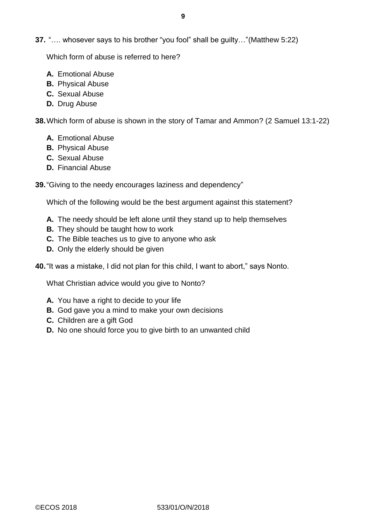**37.** "…. whosever says to his brother "you fool" shall be guilty…"(Matthew 5:22)

Which form of abuse is referred to here?

- **A.** Emotional Abuse
- **B.** Physical Abuse
- **C.** Sexual Abuse
- **D.** Drug Abuse

**38.**Which form of abuse is shown in the story of Tamar and Ammon? (2 Samuel 13:1-22)

- **A.** Emotional Abuse
- **B.** Physical Abuse
- **C.** Sexual Abuse
- **D.** Financial Abuse
- **39.**"Giving to the needy encourages laziness and dependency"

Which of the following would be the best argument against this statement?

- **A.** The needy should be left alone until they stand up to help themselves
- **B.** They should be taught how to work
- **C.** The Bible teaches us to give to anyone who ask
- **D.** Only the elderly should be given
- **40.**"It was a mistake, I did not plan for this child, I want to abort," says Nonto.

What Christian advice would you give to Nonto?

- **A.** You have a right to decide to your life
- **B.** God gave you a mind to make your own decisions
- **C.** Children are a gift God
- **D.** No one should force you to give birth to an unwanted child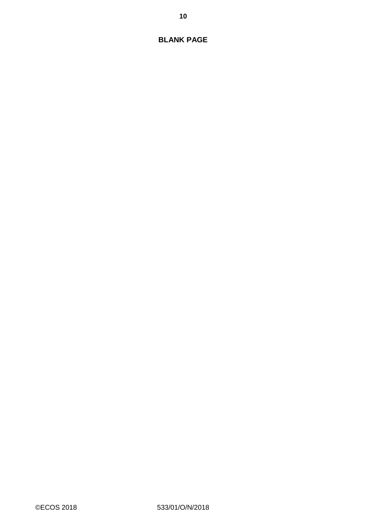## **BLANK PAGE**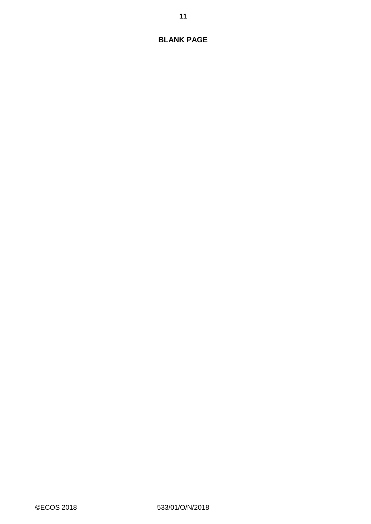## **BLANK PAGE**